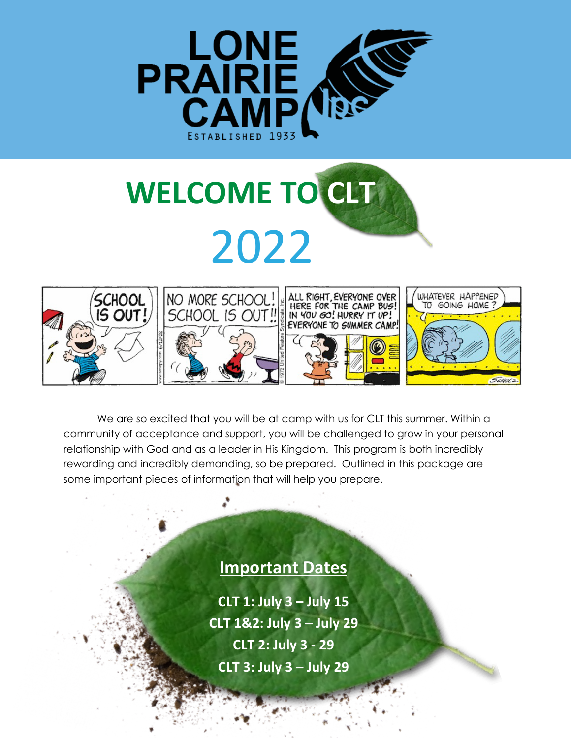

# **WELCOME TO CLT** 2022



We are so excited that you will be at camp with us for CLT this summer. Within a community of acceptance and support, you will be challenged to grow in your personal relationship with God and as a leader in His Kingdom. This program is both incredibly rewarding and incredibly demanding, so be prepared. Outlined in this package are some important pieces of information that will help you prepare.

# **Important Dates**

**CLT 1: July 3 – July 15 CLT 1&2: July 3 – July 29 CLT 2: July 3 - 29 CLT 3: July 3 – July 29**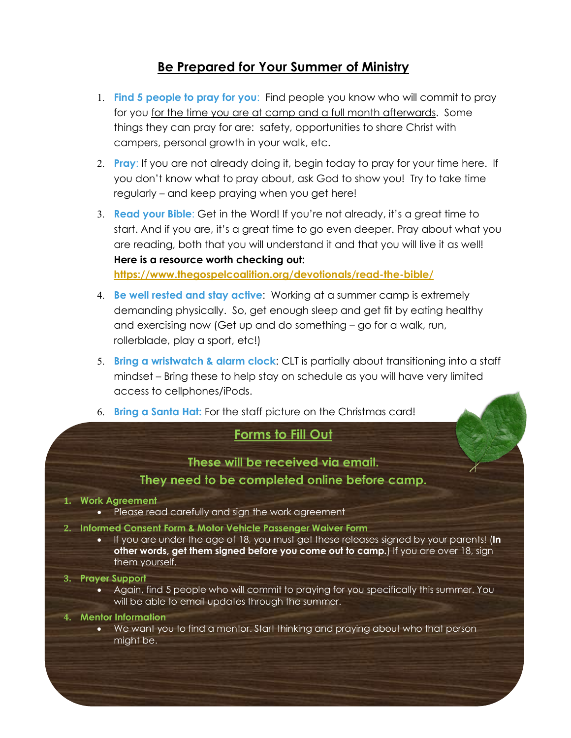# **Be Prepared for Your Summer of Ministry**

- 1. **Find 5 people to pray for you**: Find people you know who will commit to pray for you for the time you are at camp and a full month afterwards. Some things they can pray for are: safety, opportunities to share Christ with campers, personal growth in your walk, etc.
- 2. **Pray**: If you are not already doing it, begin today to pray for your time here. If you don't know what to pray about, ask God to show you! Try to take time regularly – and keep praying when you get here!
- 3. **Read your Bible**: Get in the Word! If you're not already, it's a great time to start. And if you are, it's a great time to go even deeper. Pray about what you are reading, both that you will understand it and that you will live it as well! **Here is a resource worth checking out: <https://www.thegospelcoalition.org/devotionals/read-the-bible/>**
- 4. **Be well rested and stay active**: Working at a summer camp is extremely demanding physically. So, get enough sleep and get fit by eating healthy and exercising now (Get up and do something – go for a walk, run, rollerblade, play a sport, etc!)
- 5. **Bring a wristwatch & alarm clock**: CLT is partially about transitioning into a staff mindset – Bring these to help stay on schedule as you will have very limited access to cellphones/iPods.
- 6. **Bring a Santa Hat:** For the staff picture on the Christmas card!

# **Forms to Fill Out**

# **These will be received via email.**

### **They need to be completed online before camp.**

#### **1. Work Agreement**

- Please read carefully and sign the work agreement
- **2. Informed Consent Form & Motor Vehicle Passenger Waiver Form**
	- If you are under the age of 18, you must get these releases signed by your parents! (**In other words, get them signed before you come out to camp.**) If you are over 18, sign them yourself.

#### **3. Prayer Support**

• Again, find 5 people who will commit to praying for you specifically this summer. You will be able to email updates through the summer.

#### **4. Mentor Information**

• We want you to find a mentor. Start thinking and praying about who that person might be.